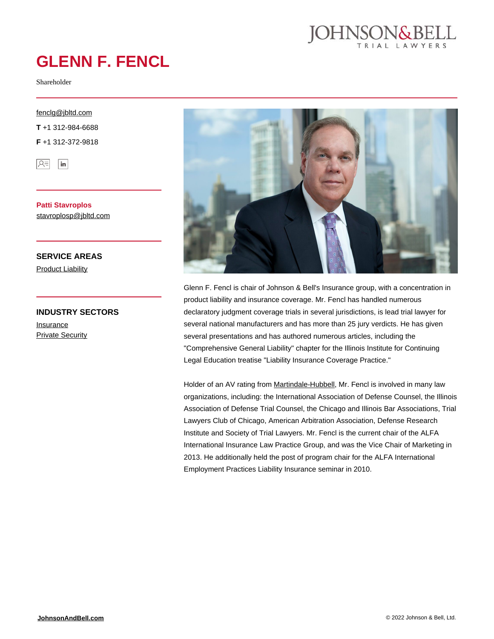

# **GLENN F. FENCL**

Shareholder

#### [fenclg@jbltd.com](mailto:fenclg@jbltd.com)

**T** +1 312-984-6688

**F** +1 312-372-9818



**Patti Stavroplos** [stavroplosp@jbltd.com](mailto:stavroplosp@jbltd.com)

### **SERVICE AREAS**

**[Product Liability](https://johnsonandbell.com/capability/product-liability/)** 

### **INDUSTRY SECTORS [Insurance](https://johnsonandbell.com/capability/insurance/) [Private Security](https://johnsonandbell.com/capability/private-security/)**



Glenn F. Fencl is chair of Johnson & Bell's Insurance group, with a concentration in product liability and insurance coverage. Mr. Fencl has handled numerous declaratory judgment coverage trials in several jurisdictions, is lead trial lawyer for several national manufacturers and has more than 25 jury verdicts. He has given several presentations and has authored numerous articles, including the "Comprehensive General Liability" chapter for the Illinois Institute for Continuing Legal Education treatise "Liability Insurance Coverage Practice."

Holder of an AV rating from [Martindale-Hubbell,](https://www.martindale.com/chicago/illinois/glenn-f-fencl-923838-a/) Mr. Fencl is involved in many law organizations, including: the International Association of Defense Counsel, the Illinois Association of Defense Trial Counsel, the Chicago and Illinois Bar Associations, Trial Lawyers Club of Chicago, American Arbitration Association, Defense Research Institute and Society of Trial Lawyers. Mr. Fencl is the current chair of the ALFA International Insurance Law Practice Group, and was the Vice Chair of Marketing in 2013. He additionally held the post of program chair for the ALFA International Employment Practices Liability Insurance seminar in 2010.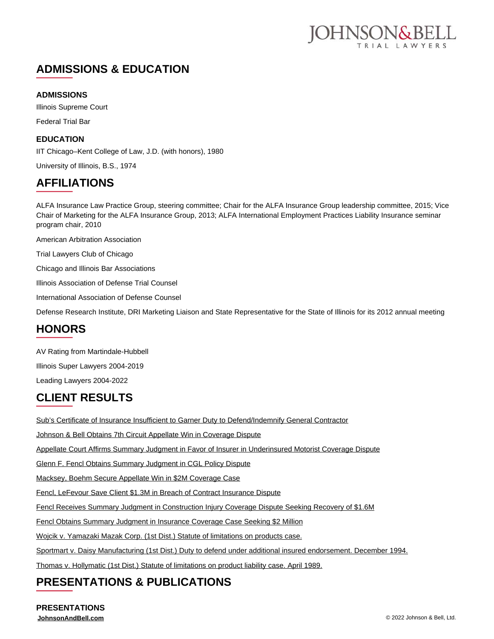

# **ADMISSIONS & EDUCATION**

### **ADMISSIONS**

Illinois Supreme Court Federal Trial Bar

### **EDUCATION**

IIT Chicago–Kent College of Law, J.D. (with honors), 1980

University of Illinois, B.S., 1974

# **AFFILIATIONS**

ALFA Insurance Law Practice Group, steering committee; Chair for the ALFA Insurance Group leadership committee, 2015; Vice Chair of Marketing for the ALFA Insurance Group, 2013; ALFA International Employment Practices Liability Insurance seminar program chair, 2010

American Arbitration Association

Trial Lawyers Club of Chicago

Chicago and Illinois Bar Associations

Illinois Association of Defense Trial Counsel

International Association of Defense Counsel

Defense Research Institute, DRI Marketing Liaison and State Representative for the State of Illinois for its 2012 annual meeting

## **HONORS**

AV Rating from Martindale-Hubbell

Illinois Super Lawyers 2004-2019

### Leading Lawyers 2004-2022 **CLIENT RESULTS**

[Sub's Certificate of Insurance Insufficient to Garner Duty to Defend/Indemnify General Contractor](https://johnsonandbell.com/subs-certificate-of-insurance-insufficient-to-garner-duty-to-defend-indemnify-gc/)

[Johnson & Bell Obtains 7th Circuit Appellate Win in Coverage Dispute](https://johnsonandbell.com/johnson-bell-obtains-7th-circuit-appellate-win-in-coverage-dispute/)

[Appellate Court Affirms Summary Judgment in Favor of Insurer in Underinsured Motorist Coverage Dispute](https://johnsonandbell.com/appellate-court-affirms-summary-judgment-in-favor-of-insurer-in-underinsured-motorist-coverage-dispute/)

[Glenn F. Fencl Obtains Summary Judgment in CGL Policy Dispute](https://johnsonandbell.com/glenn-f-fencl-obtains-summary-judgment-in-complex-coverage-case/)

[Macksey, Boehm Secure Appellate Win in \\$2M Coverage Case](https://johnsonandbell.com/macksey-boehm-secure-appellate-win-in-2m-coverage-dispute/)

[Fencl, LeFevour Save Client \\$1.3M in Breach of Contract Insurance Dispute](https://johnsonandbell.com/fencl-mcvisk-and-lefevour-save-client-1-3m-in-breach-of-contract-insurance-dispute/)

[Fencl Receives Summary Judgment in Construction Injury Coverage Dispute Seeking Recovery of \\$1.6M](https://johnsonandbell.com/fencl-receives-summary-judgment-in-construction-injury-coverage-dispute-seeking-recovery-of-1-6m/)

[Fencl Obtains Summary Judgment in Insurance Coverage Case Seeking \\$2 Million](https://johnsonandbell.com/fencl-obtains-summary-judgment-in-insurance-coverage-case-seeking-2-million/)

[Wojcik v. Yamazaki Mazak Corp. \(1st Dist.\) Statute of limitations on products case.](https://johnsonandbell.com/wojcik-v-yamazaki-mazak-corp-1st-dist-statute-of-limitations-on-products-case/)

[Sportmart v. Daisy Manufacturing \(1st Dist.\) Duty to defend under additional insured endorsement. December 1994.](https://johnsonandbell.com/sportmart-v-daisy-manufacturing-1st-dist-duty-to-defend-under-additional-insured-endorsement-december-1994/)

[Thomas v. Hollymatic \(1st Dist.\) Statute of limitations on product liability case. April 1989.](https://johnsonandbell.com/thomas-v-hollymatic-1st-dist-statute-of-limitations-on-product-liability-case-april-1989/)

# **PRESENTATIONS & PUBLICATIONS**

**PRESENTATIONS**